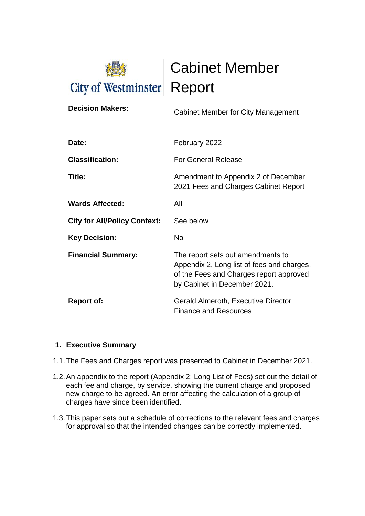

Cabinet Member

| <b>Decision Makers:</b>             | Cabinet Member for City Management                                                                                                                         |
|-------------------------------------|------------------------------------------------------------------------------------------------------------------------------------------------------------|
| Date:                               | February 2022                                                                                                                                              |
| <b>Classification:</b>              | <b>For General Release</b>                                                                                                                                 |
| Title:                              | Amendment to Appendix 2 of December<br>2021 Fees and Charges Cabinet Report                                                                                |
| <b>Wards Affected:</b>              | All                                                                                                                                                        |
| <b>City for All/Policy Context:</b> | See below                                                                                                                                                  |
| <b>Key Decision:</b>                | <b>No</b>                                                                                                                                                  |
| <b>Financial Summary:</b>           | The report sets out amendments to<br>Appendix 2, Long list of fees and charges,<br>of the Fees and Charges report approved<br>by Cabinet in December 2021. |
| <b>Report of:</b>                   | <b>Gerald Almeroth, Executive Director</b><br><b>Finance and Resources</b>                                                                                 |

## **1. Executive Summary**

- 1.1.The Fees and Charges report was presented to Cabinet in December 2021.
- 1.2.An appendix to the report (Appendix 2: Long List of Fees) set out the detail of each fee and charge, by service, showing the current charge and proposed new charge to be agreed. An error affecting the calculation of a group of charges have since been identified.
- 1.3.This paper sets out a schedule of corrections to the relevant fees and charges for approval so that the intended changes can be correctly implemented.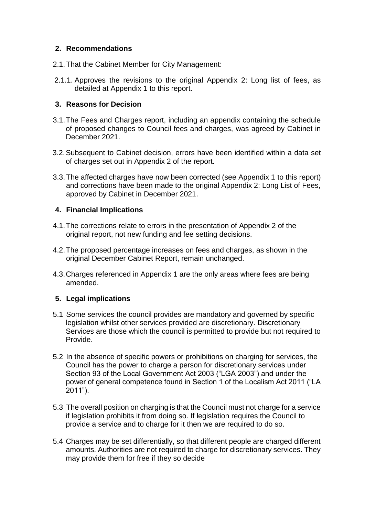## **2. Recommendations**

- 2.1.That the Cabinet Member for City Management:
- 2.1.1. Approves the revisions to the original Appendix 2: Long list of fees, as detailed at Appendix 1 to this report.

## **3. Reasons for Decision**

- 3.1.The Fees and Charges report, including an appendix containing the schedule of proposed changes to Council fees and charges, was agreed by Cabinet in December 2021.
- 3.2.Subsequent to Cabinet decision, errors have been identified within a data set of charges set out in Appendix 2 of the report.
- 3.3.The affected charges have now been corrected (see Appendix 1 to this report) and corrections have been made to the original Appendix 2: Long List of Fees, approved by Cabinet in December 2021.

#### **4. Financial Implications**

- 4.1.The corrections relate to errors in the presentation of Appendix 2 of the original report, not new funding and fee setting decisions.
- 4.2.The proposed percentage increases on fees and charges, as shown in the original December Cabinet Report, remain unchanged.
- 4.3.Charges referenced in Appendix 1 are the only areas where fees are being amended.

## **5. Legal implications**

- 5.1 Some services the council provides are mandatory and governed by specific legislation whilst other services provided are discretionary. Discretionary Services are those which the council is permitted to provide but not required to Provide.
- 5.2 In the absence of specific powers or prohibitions on charging for services, the Council has the power to charge a person for discretionary services under Section 93 of the Local Government Act 2003 ("LGA 2003") and under the power of general competence found in Section 1 of the Localism Act 2011 ("LA 2011").
- 5.3 The overall position on charging is that the Council must not charge for a service if legislation prohibits it from doing so. If legislation requires the Council to provide a service and to charge for it then we are required to do so.
- 5.4 Charges may be set differentially, so that different people are charged different amounts. Authorities are not required to charge for discretionary services. They may provide them for free if they so decide